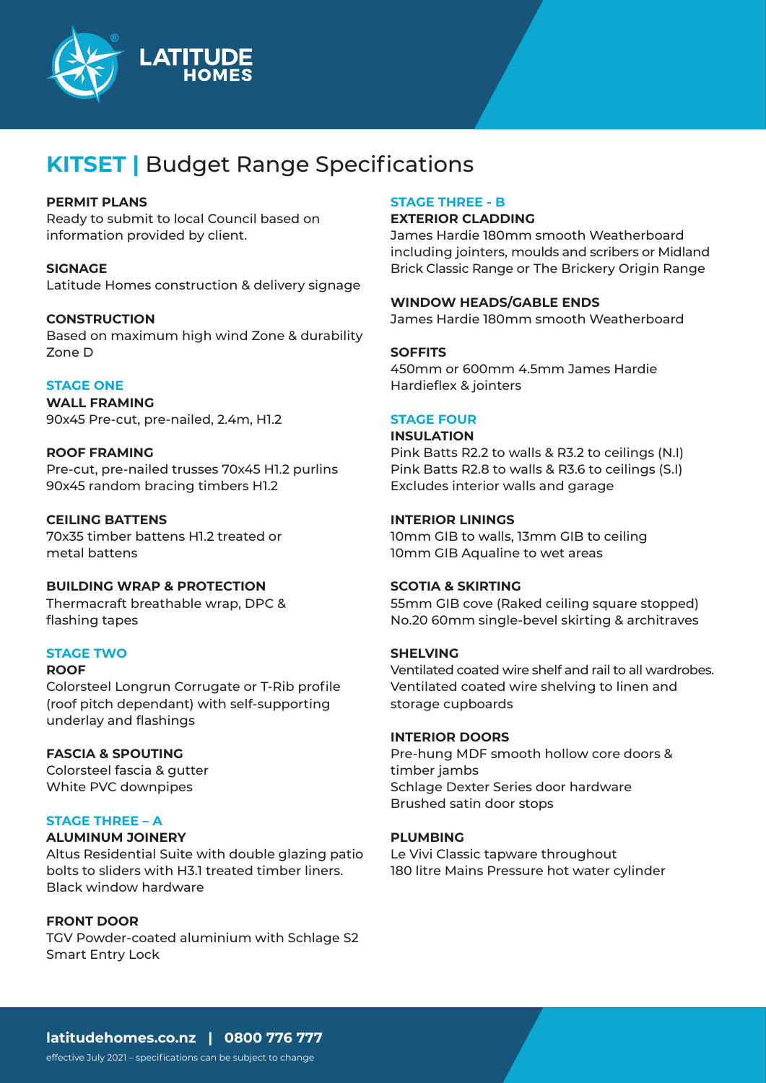

# **KITSET |** Budget Range Specifications

### **PERMIT PLANS**

Ready to submit to local Council based on information provided by client.

**SIGNAGE** Latitude Homes construction & delivery signage

#### **CONSTRUCTION**

Based on maximum high wind Zone & durability Zone D

## **STAGE ONE**

**WALL FRAMING** 90x45 Pre-cut, pre-nailed, 2.4m, H1.2

## **ROOF FRAMING**

Pre-cut, pre-nailed trusses 70x45 H1.2 purlins 90x45 random bracing timbers H1.2

## **CEILING BATTENS**

70x35 timber battens H1.2 treated or metal battens

**BUILDING WRAP & PROTECTION** Thermacraft breathable wrap, DPC & flashing tapes

## **STAGE TWO**

#### **ROOF**

Colorsteel Longrun Corrugate or T-Rib profile (roof pitch dependant) with self-supporting underlay and flashings

## **FASCIA & SPOUTING**

Colorsteel fascia & gutter White PVC downpipes

## **STAGE THREE – A**

#### **ALUMINUM JOINERY**

Altus Residential Suite with double glazing patio bolts to sliders with H3.1 treated timber liners. Black window hardware

#### **FRONT DOOR**

TGV Powder-coated aluminium with Schlage S2 Smart Entry Lock

### **STAGE THREE - B**

#### **EXTERIOR CLADDING**

James Hardie 180mm smooth Weatherboard including jointers, moulds and scribers or Midland Brick Classic Range or The Brickery Origin Range

## **WINDOW HEADS/GABLE ENDS**

James Hardie 180mm smooth Weatherboard

## **SOFFITS**

450mm or 600mm 4.5mm James Hardie Hardieflex & jointers

## **STAGE FOUR**

**INSULATION** Pink Batts R2.2 to walls & R3.2 to ceilings (N.I)

Pink Batts R2.8 to walls & R3.6 to ceilings (S.I) Excludes interior walls and garage

## **INTERIOR LININGS**

10mm GIB to walls, 13mm GIB to ceiling 10mm GIB Aqualine to wet areas

#### **SCOTIA & SKIRTING**

55mm GIB cove (Raked ceiling square stopped) No.20 60mm single-bevel skirting & architraves

#### **SHELVING**

Ventilated coated wire shelf and rail to all wardrobes. Ventilated coated wire shelving to linen and storage cupboards

#### **INTERIOR DOORS**

Pre-hung MDF smooth hollow core doors & timber jambs Schlage Dexter Series door hardware Brushed satin door stops

#### **PLUMBING**

Le Vivi Classic tapware throughout 180 litre Mains Pressure hot water cylinder